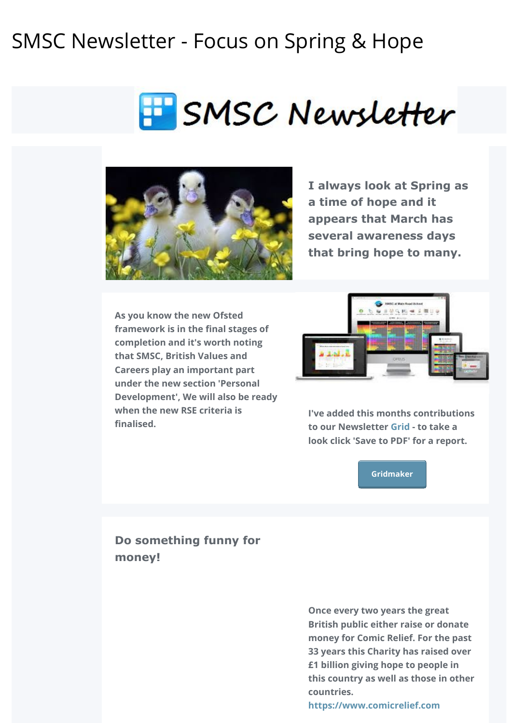# SMSC Newsletter - Focus on Spring & Hope





**I always look at Spring as a time of hope and it appears that March has several awareness days that bring hope to many.**

**As you know the new Ofsted framework is in the final stages of completion and it's worth noting that SMSC, British Values and Careers play an important part under the new section 'Personal Development', We will also be ready when the new RSE criteria is finalised.** 



**I've added this months contributions to our Newsletter [Grid](http://www.gridmaker.net/newsletter/view) - to take a look click 'Save to PDF' for a report.**

**[Gridmaker](http://smsc.opeus.org/)**

# **Do something funny for money!**

**Once every two years the great British public either raise or donate money for Comic Relief. For the past 33 years this Charity has raised over £1 billion giving hope to people in this country as well as those in other countries.** 

**[https://www.comicrelief.com](https://www.comicrelief.com/)**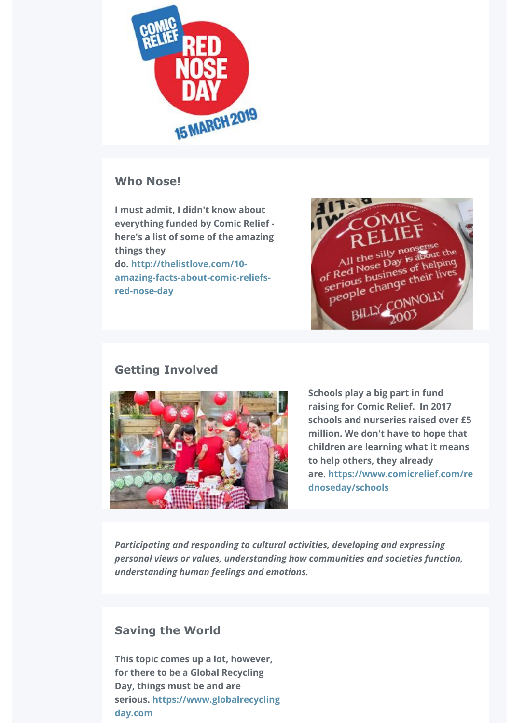

## **Who Nose!**

**I must admit, I didn't know about everything funded by Comic Relief here's a list of some of the amazing things they do. http://thelistlove.com/10 [amazing-facts-about-comic-reliefs](http://thelistlove.com/10-amazing-facts-about-comic-reliefs-red-nose-day/)red-nose-day**



# **Getting Involved**



**Schools play a big part in fund raising for Comic Relief. In 2017 schools and nurseries raised over £5 million. We don't have to hope that children are learning what it means to help others, they already [are. https://www.comicrelief.com/re](https://www.comicrelief.com/rednoseday/schools) dnoseday/schools**

*Participating and responding to cultural activities, developing and expressing personal views or values, understanding how communities and societies function, understanding human feelings and emotions.*

# **Saving the World**

**This topic comes up a lot, however, for there to be a Global Recycling Day, things must be and are [serious. https://www.globalrecycling](https://www.globalrecyclingday.com/) day.com**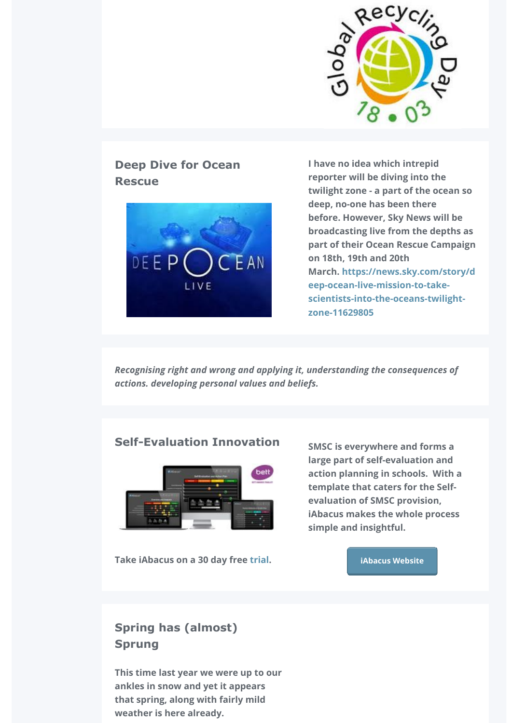

# **Deep Dive for Ocean Rescue**



**I have no idea which intrepid reporter will be diving into the twilight zone - a part of the ocean so deep, no-one has been there before. However, Sky News will be broadcasting live from the depths as part of their Ocean Rescue Campaign on 18th, 19th and 20th [March. https://news.sky.com/story/d](https://news.sky.com/story/deep-ocean-live-mission-to-take-scientists-into-the-oceans-twilight-zone-11629805) eep-ocean-live-mission-to-takescientists-into-the-oceans-twilightzone-11629805**

*Recognising right and wrong and applying it, understanding the consequences of actions. developing personal values and beliefs.* 

## **Self-Evaluation Innovation**



**Take iAbacus on a 30 day free [trial.](https://www.iabacus.co.uk/trial/)** 

**SMSC is everywhere and forms a large part of self-evaluation and action planning in schools. With a template that caters for the Selfevaluation of SMSC provision, iAbacus makes the whole process simple and insightful.**

### **[iAbacus Website](https://www.iabacus.co.uk/)**

# **Spring has (almost) Sprung**

**This time last year we were up to our ankles in snow and yet it appears that spring, along with fairly mild** weather is here already.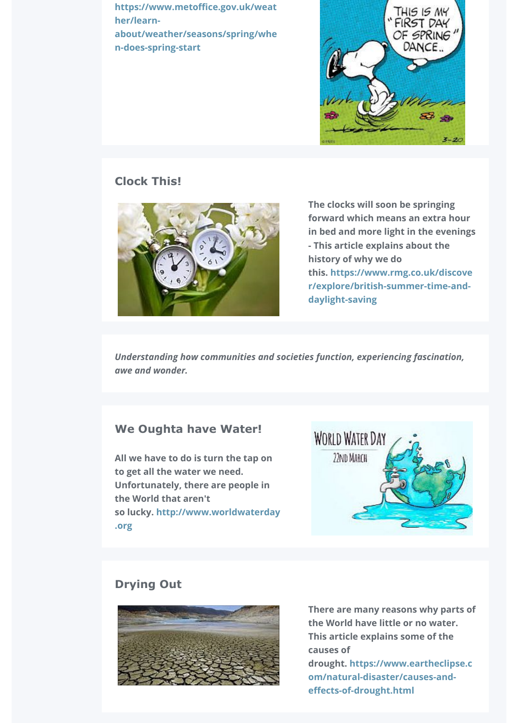**https://www.metoffice.gov.uk/weat her/learn[about/weather/seasons/spring/whe](https://www.metoffice.gov.uk/weather/learn-about/weather/seasons/spring/when-does-spring-start) n-does-spring-start**



### **Clock This!**



**The clocks will soon be springing forward which means an extra hour in bed and more light in the evenings - This article explains about the history of why we do [this. https://www.rmg.co.uk/discove](https://www.rmg.co.uk/discover/explore/british-summer-time-and-daylight-saving) r/explore/british-summer-time-anddaylight-saving**

*Understanding how communities and societies function, experiencing fascination, awe and wonder.*

### **We Oughta have Water!**

**All we have to do is turn the tap on to get all the water we need. Unfortunately, there are people in the World that aren't [so lucky. http://www.worldwaterday](https://www.worldwaterday.org/) .org**



# **Drying Out**



**There are many reasons why parts of the World have little or no water. This article explains some of the causes of [drought. https://www.eartheclipse.c](https://www.eartheclipse.com/natural-disaster/causes-and-effects-of-drought.html) om/natural-disaster/causes-andeffects-of-drought.html**